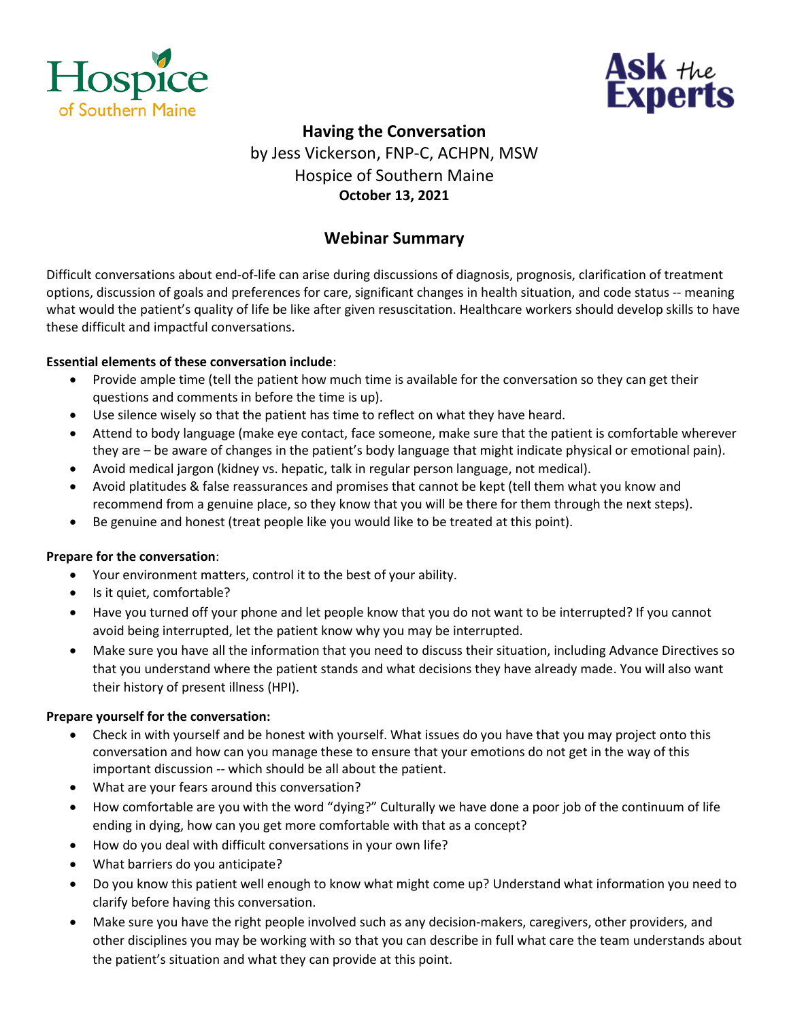



# **Having the Conversation** by Jess Vickerson, FNP-C, ACHPN, MSW Hospice of Southern Maine **October 13, 2021**

## **Webinar Summary**

Difficult conversations about end-of-life can arise during discussions of diagnosis, prognosis, clarification of treatment options, discussion of goals and preferences for care, significant changes in health situation, and code status -- meaning what would the patient's quality of life be like after given resuscitation. Healthcare workers should develop skills to have these difficult and impactful conversations.

### **Essential elements of these conversation include**:

- Provide ample time (tell the patient how much time is available for the conversation so they can get their questions and comments in before the time is up).
- Use silence wisely so that the patient has time to reflect on what they have heard.
- Attend to body language (make eye contact, face someone, make sure that the patient is comfortable wherever they are – be aware of changes in the patient's body language that might indicate physical or emotional pain).
- Avoid medical jargon (kidney vs. hepatic, talk in regular person language, not medical).
- Avoid platitudes & false reassurances and promises that cannot be kept (tell them what you know and recommend from a genuine place, so they know that you will be there for them through the next steps).
- Be genuine and honest (treat people like you would like to be treated at this point).

#### **Prepare for the conversation**:

- Your environment matters, control it to the best of your ability.
- Is it quiet, comfortable?
- Have you turned off your phone and let people know that you do not want to be interrupted? If you cannot avoid being interrupted, let the patient know why you may be interrupted.
- Make sure you have all the information that you need to discuss their situation, including Advance Directives so that you understand where the patient stands and what decisions they have already made. You will also want their history of present illness (HPI).

#### **Prepare yourself for the conversation:**

- Check in with yourself and be honest with yourself. What issues do you have that you may project onto this conversation and how can you manage these to ensure that your emotions do not get in the way of this important discussion -- which should be all about the patient.
- What are your fears around this conversation?
- How comfortable are you with the word "dying?" Culturally we have done a poor job of the continuum of life ending in dying, how can you get more comfortable with that as a concept?
- How do you deal with difficult conversations in your own life?
- What barriers do you anticipate?
- Do you know this patient well enough to know what might come up? Understand what information you need to clarify before having this conversation.
- Make sure you have the right people involved such as any decision-makers, caregivers, other providers, and other disciplines you may be working with so that you can describe in full what care the team understands about the patient's situation and what they can provide at this point.